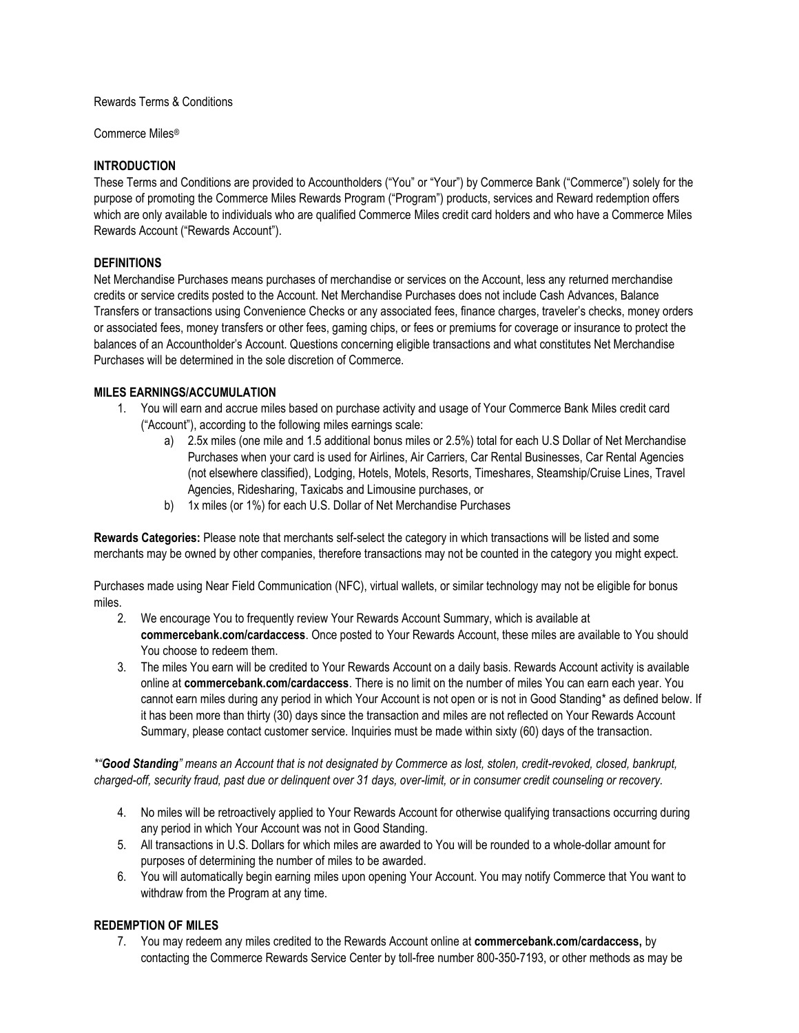#### Rewards Terms & Conditions

Commerce Miles®

#### **INTRODUCTION**

These Terms and Conditions are provided to Accountholders ("You" or "Your") by Commerce Bank ("Commerce") solely for the purpose of promoting the Commerce Miles Rewards Program ("Program") products, services and Reward redemption offers which are only available to individuals who are qualified Commerce Miles credit card holders and who have a Commerce Miles Rewards Account ("Rewards Account").

#### **DEFINITIONS**

Net Merchandise Purchases means purchases of merchandise or services on the Account, less any returned merchandise credits or service credits posted to the Account. Net Merchandise Purchases does not include Cash Advances, Balance Transfers or transactions using Convenience Checks or any associated fees, finance charges, traveler's checks, money orders or associated fees, money transfers or other fees, gaming chips, or fees or premiums for coverage or insurance to protect the balances of an Accountholder's Account. Questions concerning eligible transactions and what constitutes Net Merchandise Purchases will be determined in the sole discretion of Commerce.

#### **MILES EARNINGS/ACCUMULATION**

- 1. You will earn and accrue miles based on purchase activity and usage of Your Commerce Bank Miles credit card ("Account"), according to the following miles earnings scale:
	- a) 2.5x miles (one mile and 1.5 additional bonus miles or 2.5%) total for each U.S Dollar of Net Merchandise Purchases when your card is used for Airlines, Air Carriers, Car Rental Businesses, Car Rental Agencies (not elsewhere classified), Lodging, Hotels, Motels, Resorts, Timeshares, Steamship/Cruise Lines, Travel Agencies, Ridesharing, Taxicabs and Limousine purchases, or
	- b) 1x miles (or 1%) for each U.S. Dollar of Net Merchandise Purchases

**Rewards Categories:** Please note that merchants self-select the category in which transactions will be listed and some merchants may be owned by other companies, therefore transactions may not be counted in the category you might expect.

Purchases made using Near Field Communication (NFC), virtual wallets, or similar technology may not be eligible for bonus miles.

- 2. We encourage You to frequently review Your Rewards Account Summary, which is available at **commercebank.com/cardaccess**. Once posted to Your Rewards Account, these miles are available to You should You choose to redeem them.
- 3. The miles You earn will be credited to Your Rewards Account on a daily basis. Rewards Account activity is available online at **commercebank.com/cardaccess**. There is no limit on the number of miles You can earn each year. You cannot earn miles during any period in which Your Account is not open or is not in Good Standing\* as defined below. If it has been more than thirty (30) days since the transaction and miles are not reflected on Your Rewards Account Summary, please contact customer service. Inquiries must be made within sixty (60) days of the transaction.

*\*"Good Standing" means an Account that is not designated by Commerce as lost, stolen, credit-revoked, closed, bankrupt, charged-off, security fraud, past due or delinquent over 31 days, over-limit, or in consumer credit counseling or recovery.* 

- 4. No miles will be retroactively applied to Your Rewards Account for otherwise qualifying transactions occurring during any period in which Your Account was not in Good Standing.
- 5. All transactions in U.S. Dollars for which miles are awarded to You will be rounded to a whole-dollar amount for purposes of determining the number of miles to be awarded.
- 6. You will automatically begin earning miles upon opening Your Account. You may notify Commerce that You want to withdraw from the Program at any time.

# **REDEMPTION OF MILES**

7. You may redeem any miles credited to the Rewards Account online at **commercebank.com/cardaccess,** by contacting the Commerce Rewards Service Center by toll-free number 800-350-7193, or other methods as may be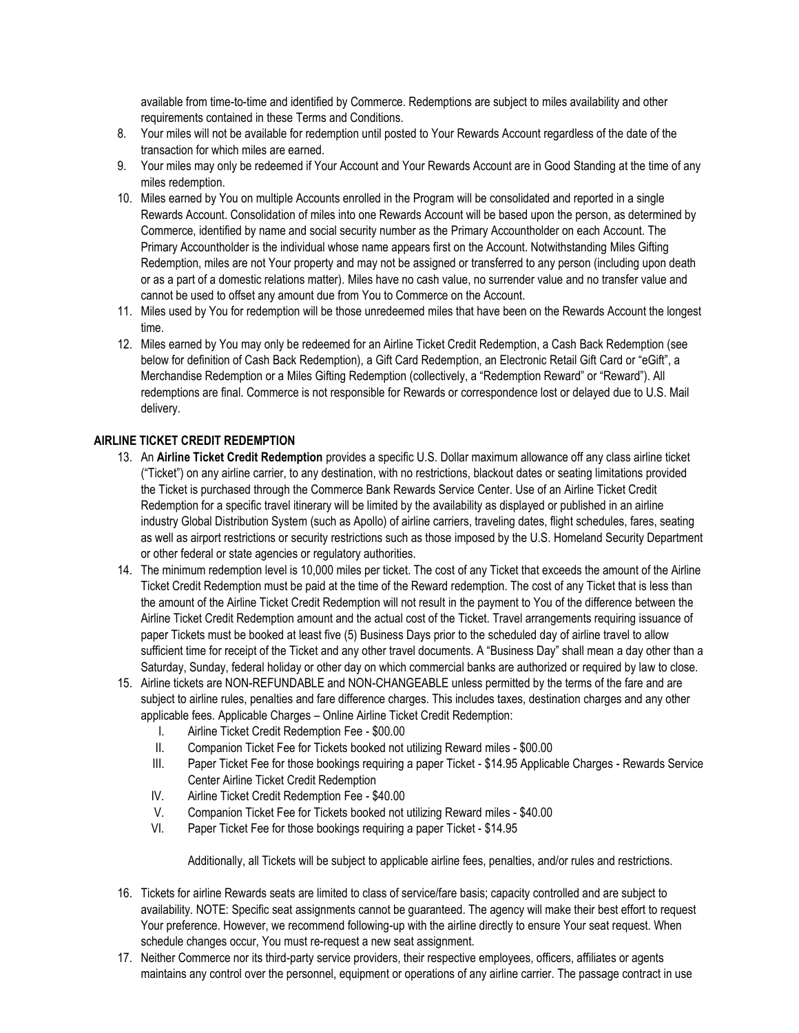available from time-to-time and identified by Commerce. Redemptions are subject to miles availability and other requirements contained in these Terms and Conditions.

- 8. Your miles will not be available for redemption until posted to Your Rewards Account regardless of the date of the transaction for which miles are earned.
- 9. Your miles may only be redeemed if Your Account and Your Rewards Account are in Good Standing at the time of any miles redemption.
- 10. Miles earned by You on multiple Accounts enrolled in the Program will be consolidated and reported in a single Rewards Account. Consolidation of miles into one Rewards Account will be based upon the person, as determined by Commerce, identified by name and social security number as the Primary Accountholder on each Account. The Primary Accountholder is the individual whose name appears first on the Account. Notwithstanding Miles Gifting Redemption, miles are not Your property and may not be assigned or transferred to any person (including upon death or as a part of a domestic relations matter). Miles have no cash value, no surrender value and no transfer value and cannot be used to offset any amount due from You to Commerce on the Account.
- 11. Miles used by You for redemption will be those unredeemed miles that have been on the Rewards Account the longest time.
- 12. Miles earned by You may only be redeemed for an Airline Ticket Credit Redemption, a Cash Back Redemption (see below for definition of Cash Back Redemption), a Gift Card Redemption, an Electronic Retail Gift Card or "eGift", a Merchandise Redemption or a Miles Gifting Redemption (collectively, a "Redemption Reward" or "Reward"). All redemptions are final. Commerce is not responsible for Rewards or correspondence lost or delayed due to U.S. Mail delivery.

#### **AIRLINE TICKET CREDIT REDEMPTION**

- 13. An **Airline Ticket Credit Redemption** provides a specific U.S. Dollar maximum allowance off any class airline ticket ("Ticket") on any airline carrier, to any destination, with no restrictions, blackout dates or seating limitations provided the Ticket is purchased through the Commerce Bank Rewards Service Center. Use of an Airline Ticket Credit Redemption for a specific travel itinerary will be limited by the availability as displayed or published in an airline industry Global Distribution System (such as Apollo) of airline carriers, traveling dates, flight schedules, fares, seating as well as airport restrictions or security restrictions such as those imposed by the U.S. Homeland Security Department or other federal or state agencies or regulatory authorities.
- 14. The minimum redemption level is 10,000 miles per ticket. The cost of any Ticket that exceeds the amount of the Airline Ticket Credit Redemption must be paid at the time of the Reward redemption. The cost of any Ticket that is less than the amount of the Airline Ticket Credit Redemption will not result in the payment to You of the difference between the Airline Ticket Credit Redemption amount and the actual cost of the Ticket. Travel arrangements requiring issuance of paper Tickets must be booked at least five (5) Business Days prior to the scheduled day of airline travel to allow sufficient time for receipt of the Ticket and any other travel documents. A "Business Day" shall mean a day other than a Saturday, Sunday, federal holiday or other day on which commercial banks are authorized or required by law to close.
- 15. Airline tickets are NON-REFUNDABLE and NON-CHANGEABLE unless permitted by the terms of the fare and are subject to airline rules, penalties and fare difference charges. This includes taxes, destination charges and any other applicable fees. Applicable Charges – Online Airline Ticket Credit Redemption:
	- I. Airline Ticket Credit Redemption Fee \$00.00
	- II. Companion Ticket Fee for Tickets booked not utilizing Reward miles \$00.00
	- III. Paper Ticket Fee for those bookings requiring a paper Ticket \$14.95 Applicable Charges Rewards Service Center Airline Ticket Credit Redemption
	- IV. Airline Ticket Credit Redemption Fee \$40.00
	- V. Companion Ticket Fee for Tickets booked not utilizing Reward miles \$40.00
	- VI. Paper Ticket Fee for those bookings requiring a paper Ticket \$14.95

Additionally, all Tickets will be subject to applicable airline fees, penalties, and/or rules and restrictions.

- 16. Tickets for airline Rewards seats are limited to class of service/fare basis; capacity controlled and are subject to availability. NOTE: Specific seat assignments cannot be guaranteed. The agency will make their best effort to request Your preference. However, we recommend following-up with the airline directly to ensure Your seat request. When schedule changes occur, You must re-request a new seat assignment.
- 17. Neither Commerce nor its third-party service providers, their respective employees, officers, affiliates or agents maintains any control over the personnel, equipment or operations of any airline carrier. The passage contract in use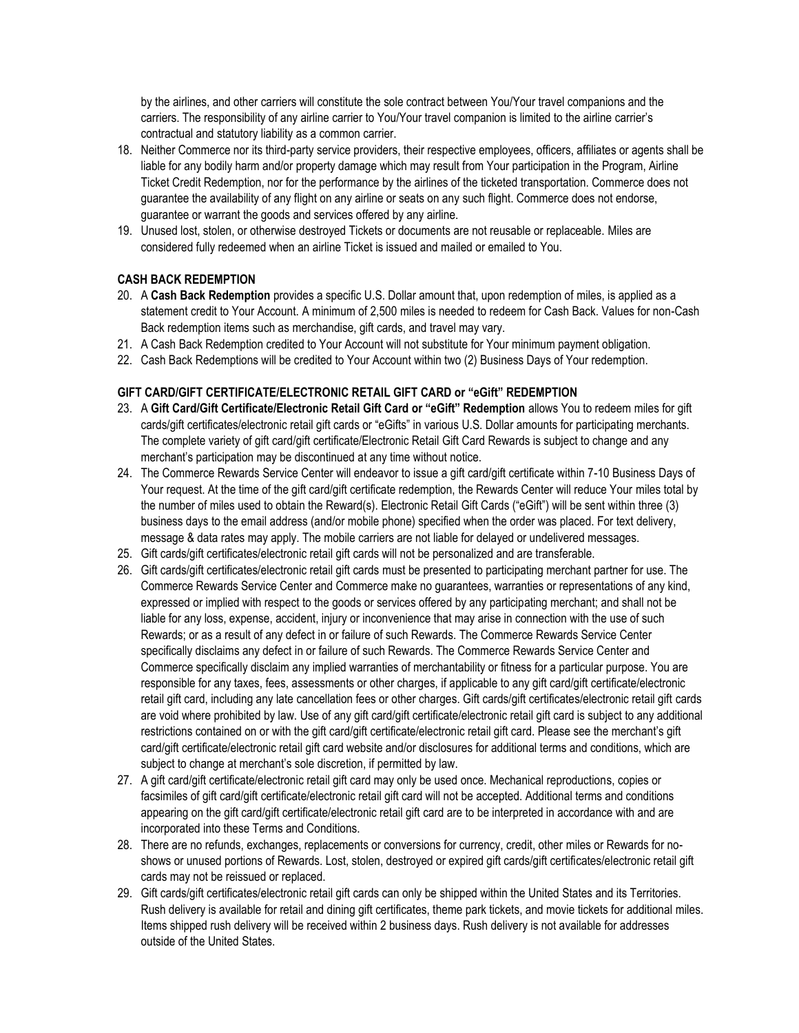by the airlines, and other carriers will constitute the sole contract between You/Your travel companions and the carriers. The responsibility of any airline carrier to You/Your travel companion is limited to the airline carrier's contractual and statutory liability as a common carrier.

- 18. Neither Commerce nor its third-party service providers, their respective employees, officers, affiliates or agents shall be liable for any bodily harm and/or property damage which may result from Your participation in the Program, Airline Ticket Credit Redemption, nor for the performance by the airlines of the ticketed transportation. Commerce does not guarantee the availability of any flight on any airline or seats on any such flight. Commerce does not endorse, guarantee or warrant the goods and services offered by any airline.
- 19. Unused lost, stolen, or otherwise destroyed Tickets or documents are not reusable or replaceable. Miles are considered fully redeemed when an airline Ticket is issued and mailed or emailed to You.

# **CASH BACK REDEMPTION**

- 20. A **Cash Back Redemption** provides a specific U.S. Dollar amount that, upon redemption of miles, is applied as a statement credit to Your Account. A minimum of 2,500 miles is needed to redeem for Cash Back. Values for non-Cash Back redemption items such as merchandise, gift cards, and travel may vary.
- 21. A Cash Back Redemption credited to Your Account will not substitute for Your minimum payment obligation.
- 22. Cash Back Redemptions will be credited to Your Account within two (2) Business Days of Your redemption.

#### **GIFT CARD/GIFT CERTIFICATE/ELECTRONIC RETAIL GIFT CARD or "eGift" REDEMPTION**

- 23. A **Gift Card/Gift Certificate/Electronic Retail Gift Card or "eGift" Redemption** allows You to redeem miles for gift cards/gift certificates/electronic retail gift cards or "eGifts" in various U.S. Dollar amounts for participating merchants. The complete variety of gift card/gift certificate/Electronic Retail Gift Card Rewards is subject to change and any merchant's participation may be discontinued at any time without notice.
- 24. The Commerce Rewards Service Center will endeavor to issue a gift card/gift certificate within 7-10 Business Days of Your request. At the time of the gift card/gift certificate redemption, the Rewards Center will reduce Your miles total by the number of miles used to obtain the Reward(s). Electronic Retail Gift Cards ("eGift") will be sent within three (3) business days to the email address (and/or mobile phone) specified when the order was placed. For text delivery, message & data rates may apply. The mobile carriers are not liable for delayed or undelivered messages.
- 25. Gift cards/gift certificates/electronic retail gift cards will not be personalized and are transferable.
- 26. Gift cards/gift certificates/electronic retail gift cards must be presented to participating merchant partner for use. The Commerce Rewards Service Center and Commerce make no guarantees, warranties or representations of any kind, expressed or implied with respect to the goods or services offered by any participating merchant; and shall not be liable for any loss, expense, accident, injury or inconvenience that may arise in connection with the use of such Rewards; or as a result of any defect in or failure of such Rewards. The Commerce Rewards Service Center specifically disclaims any defect in or failure of such Rewards. The Commerce Rewards Service Center and Commerce specifically disclaim any implied warranties of merchantability or fitness for a particular purpose. You are responsible for any taxes, fees, assessments or other charges, if applicable to any gift card/gift certificate/electronic retail gift card, including any late cancellation fees or other charges. Gift cards/gift certificates/electronic retail gift cards are void where prohibited by law. Use of any gift card/gift certificate/electronic retail gift card is subject to any additional restrictions contained on or with the gift card/gift certificate/electronic retail gift card. Please see the merchant's gift card/gift certificate/electronic retail gift card website and/or disclosures for additional terms and conditions, which are subject to change at merchant's sole discretion, if permitted by law.
- 27. A gift card/gift certificate/electronic retail gift card may only be used once. Mechanical reproductions, copies or facsimiles of gift card/gift certificate/electronic retail gift card will not be accepted. Additional terms and conditions appearing on the gift card/gift certificate/electronic retail gift card are to be interpreted in accordance with and are incorporated into these Terms and Conditions.
- 28. There are no refunds, exchanges, replacements or conversions for currency, credit, other miles or Rewards for noshows or unused portions of Rewards. Lost, stolen, destroyed or expired gift cards/gift certificates/electronic retail gift cards may not be reissued or replaced.
- 29. Gift cards/gift certificates/electronic retail gift cards can only be shipped within the United States and its Territories. Rush delivery is available for retail and dining gift certificates, theme park tickets, and movie tickets for additional miles. Items shipped rush delivery will be received within 2 business days. Rush delivery is not available for addresses outside of the United States.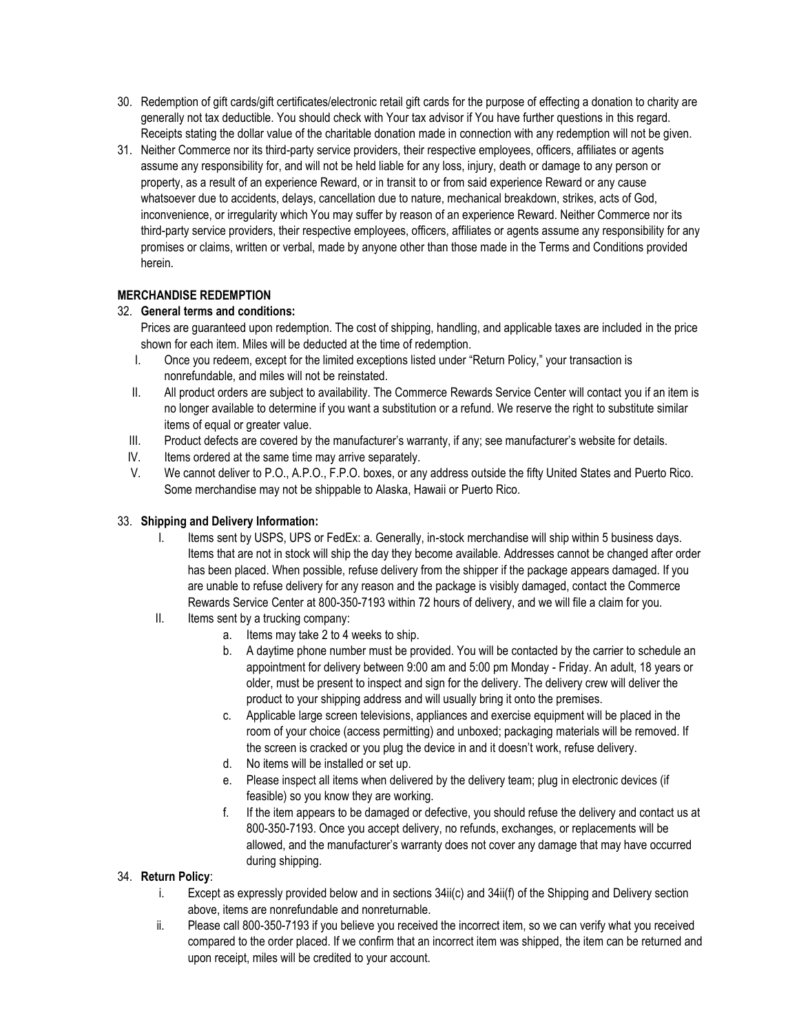- 30. Redemption of gift cards/gift certificates/electronic retail gift cards for the purpose of effecting a donation to charity are generally not tax deductible. You should check with Your tax advisor if You have further questions in this regard. Receipts stating the dollar value of the charitable donation made in connection with any redemption will not be given.
- 31. Neither Commerce nor its third-party service providers, their respective employees, officers, affiliates or agents assume any responsibility for, and will not be held liable for any loss, injury, death or damage to any person or property, as a result of an experience Reward, or in transit to or from said experience Reward or any cause whatsoever due to accidents, delays, cancellation due to nature, mechanical breakdown, strikes, acts of God, inconvenience, or irregularity which You may suffer by reason of an experience Reward. Neither Commerce nor its third-party service providers, their respective employees, officers, affiliates or agents assume any responsibility for any promises or claims, written or verbal, made by anyone other than those made in the Terms and Conditions provided herein.

# **MERCHANDISE REDEMPTION**

# 32. **General terms and conditions:**

Prices are guaranteed upon redemption. The cost of shipping, handling, and applicable taxes are included in the price shown for each item. Miles will be deducted at the time of redemption.

- I. Once you redeem, except for the limited exceptions listed under "Return Policy," your transaction is nonrefundable, and miles will not be reinstated.
- II. All product orders are subject to availability. The Commerce Rewards Service Center will contact you if an item is no longer available to determine if you want a substitution or a refund. We reserve the right to substitute similar items of equal or greater value.
- III. Product defects are covered by the manufacturer's warranty, if any; see manufacturer's website for details.
- IV. Items ordered at the same time may arrive separately.
- V. We cannot deliver to P.O., A.P.O., F.P.O. boxes, or any address outside the fifty United States and Puerto Rico. Some merchandise may not be shippable to Alaska, Hawaii or Puerto Rico.

# 33. **Shipping and Delivery Information:**

- I. Items sent by USPS, UPS or FedEx: a. Generally, in-stock merchandise will ship within 5 business days. Items that are not in stock will ship the day they become available. Addresses cannot be changed after order has been placed. When possible, refuse delivery from the shipper if the package appears damaged. If you are unable to refuse delivery for any reason and the package is visibly damaged, contact the Commerce Rewards Service Center at 800-350-7193 within 72 hours of delivery, and we will file a claim for you.
- II. Items sent by a trucking company:
	- a. Items may take 2 to 4 weeks to ship.
	- b. A daytime phone number must be provided. You will be contacted by the carrier to schedule an appointment for delivery between 9:00 am and 5:00 pm Monday - Friday. An adult, 18 years or older, must be present to inspect and sign for the delivery. The delivery crew will deliver the product to your shipping address and will usually bring it onto the premises.
	- c. Applicable large screen televisions, appliances and exercise equipment will be placed in the room of your choice (access permitting) and unboxed; packaging materials will be removed. If the screen is cracked or you plug the device in and it doesn't work, refuse delivery.
	- d. No items will be installed or set up.
	- e. Please inspect all items when delivered by the delivery team; plug in electronic devices (if feasible) so you know they are working.
	- f. If the item appears to be damaged or defective, you should refuse the delivery and contact us at 800-350-7193. Once you accept delivery, no refunds, exchanges, or replacements will be allowed, and the manufacturer's warranty does not cover any damage that may have occurred during shipping.

# 34. **Return Policy**:

- i. Except as expressly provided below and in sections 34ii(c) and 34ii(f) of the Shipping and Delivery section above, items are nonrefundable and nonreturnable.
- ii. Please call 800-350-7193 if you believe you received the incorrect item, so we can verify what you received compared to the order placed. If we confirm that an incorrect item was shipped, the item can be returned and upon receipt, miles will be credited to your account.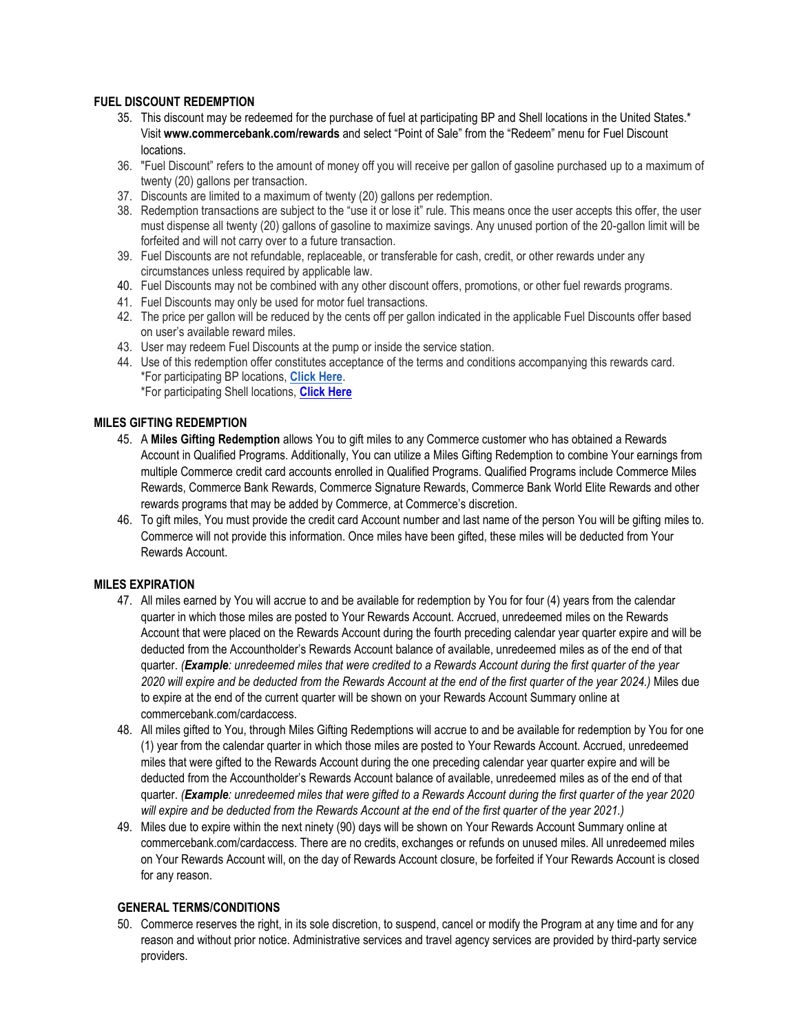#### **FUEL DISCOUNT REDEMPTION**

- 35. This discount may be redeemed for the purchase of fuel at participating BP and Shell locations in the United States.\* Visit **www.commercebank.com/rewards** and select "Point of Sale" from the "Redeem" menu for Fuel Discount locations.
- 36. "Fuel Discount" refers to the amount of money off you will receive per gallon of gasoline purchased up to a maximum of twenty (20) gallons per transaction.
- 37. Discounts are limited to a maximum of twenty (20) gallons per redemption.
- 38. Redemption transactions are subject to the "use it or lose it" rule. This means once the user accepts this offer, the user must dispense all twenty (20) gallons of gasoline to maximize savings. Any unused portion of the 20-gallon limit will be forfeited and will not carry over to a future transaction.
- 39. Fuel Discounts are not refundable, replaceable, or transferable for cash, credit, or other rewards under any circumstances unless required by applicable law.
- 40. Fuel Discounts may not be combined with any other discount offers, promotions, or other fuel rewards programs.
- 41. Fuel Discounts may only be used for motor fuel transactions.
- 42. The price per gallon will be reduced by the cents off per gallon indicated in the applicable Fuel Discounts offer based on user's available reward miles.
- 43. User may redeem Fuel Discounts at the pump or inside the service station.
- 44. Use of this redemption offer constitutes acceptance of the terms and conditions accompanying this rewards card. \*For participating BP locations, **[Click Here](https://www.mybpstation.com/station-finder)**. \*For participating Shell locations, **[Click Here](https://www.shell.us/motorist/gas-station-near-me.html)**

# **MILES GIFTING REDEMPTION**

- 45. A **Miles Gifting Redemption** allows You to gift miles to any Commerce customer who has obtained a Rewards Account in Qualified Programs. Additionally, You can utilize a Miles Gifting Redemption to combine Your earnings from multiple Commerce credit card accounts enrolled in Qualified Programs. Qualified Programs include Commerce Miles Rewards, Commerce Bank Rewards, Commerce Signature Rewards, Commerce Bank World Elite Rewards and other rewards programs that may be added by Commerce, at Commerce's discretion.
- 46. To gift miles, You must provide the credit card Account number and last name of the person You will be gifting miles to. Commerce will not provide this information. Once miles have been gifted, these miles will be deducted from Your Rewards Account.

# **MILES EXPIRATION**

- 47. All miles earned by You will accrue to and be available for redemption by You for four (4) years from the calendar quarter in which those miles are posted to Your Rewards Account. Accrued, unredeemed miles on the Rewards Account that were placed on the Rewards Account during the fourth preceding calendar year quarter expire and will be deducted from the Accountholder's Rewards Account balance of available, unredeemed miles as of the end of that quarter. *(Example: unredeemed miles that were credited to a Rewards Account during the first quarter of the year 2020 will expire and be deducted from the Rewards Account at the end of the first quarter of the year 2024.)* Miles due to expire at the end of the current quarter will be shown on your Rewards Account Summary online at commercebank.com/cardaccess.
- 48. All miles gifted to You, through Miles Gifting Redemptions will accrue to and be available for redemption by You for one (1) year from the calendar quarter in which those miles are posted to Your Rewards Account. Accrued, unredeemed miles that were gifted to the Rewards Account during the one preceding calendar year quarter expire and will be deducted from the Accountholder's Rewards Account balance of available, unredeemed miles as of the end of that quarter. *(Example: unredeemed miles that were gifted to a Rewards Account during the first quarter of the year 2020* will expire and be deducted from the Rewards Account at the end of the first quarter of the year 2021.)
- 49. Miles due to expire within the next ninety (90) days will be shown on Your Rewards Account Summary online at commercebank.com/cardaccess. There are no credits, exchanges or refunds on unused miles. All unredeemed miles on Your Rewards Account will, on the day of Rewards Account closure, be forfeited if Your Rewards Account is closed for any reason.

# **GENERAL TERMS/CONDITIONS**

50. Commerce reserves the right, in its sole discretion, to suspend, cancel or modify the Program at any time and for any reason and without prior notice. Administrative services and travel agency services are provided by third-party service providers.